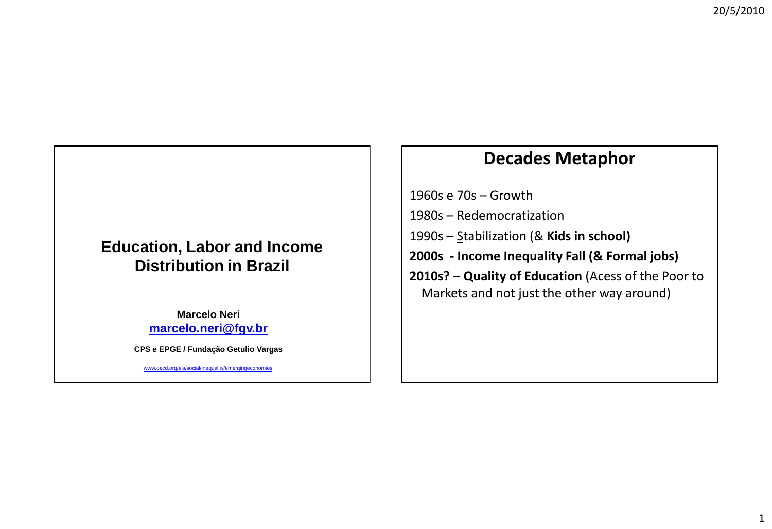### **Education, Labor and Income Distribution in Brazil**

**Marcelo Neri [marcelo.neri@fgv.br](mailto:Marcelo.neri@fgv.br)**

**CPS e EPGE / Fundação Getulio Vargas**

www.oecd.org/els/social/inequality/emergingeconomies

### **Decades Metaphor**

1960s e 70s – Growth

- 1980s Redemocratization
- 1990s Stabilization (& **Kids in school)**
- **2000s - Income Inequality Fall (& Formal jobs)**
- **2010s? – Quality of Education** (Acess of the Poor to Markets and not just the other way around)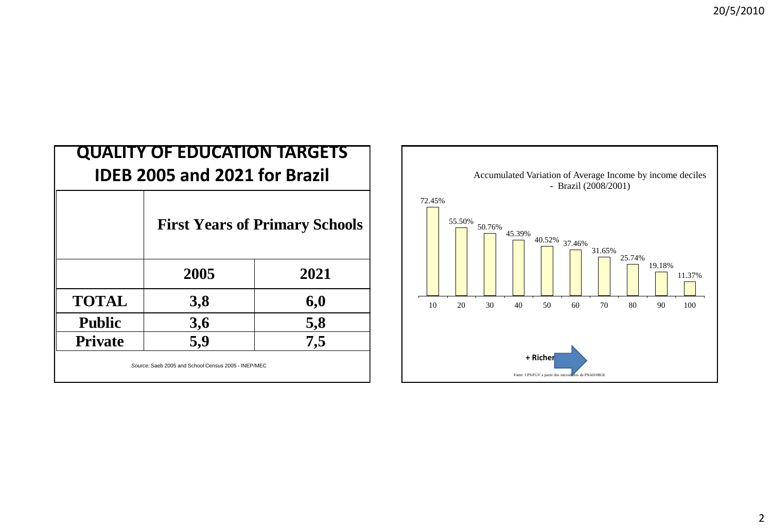| <b>QUALITY OF EDUCATION TARGETS</b><br><b>IDEB 2005 and 2021 for Brazil</b> |                                       |      |  |  |  |  |
|-----------------------------------------------------------------------------|---------------------------------------|------|--|--|--|--|
|                                                                             | <b>First Years of Primary Schools</b> |      |  |  |  |  |
|                                                                             | 2005                                  | 2021 |  |  |  |  |
| <b>TOTAL</b>                                                                | 3,8                                   | 6,0  |  |  |  |  |
| <b>Public</b>                                                               | 3,6                                   | 5,8  |  |  |  |  |
| <b>Private</b>                                                              | 5,9                                   | 7,5  |  |  |  |  |
| Source: Saeb 2005 and School Census 2005 - INEP/MEC                         |                                       |      |  |  |  |  |

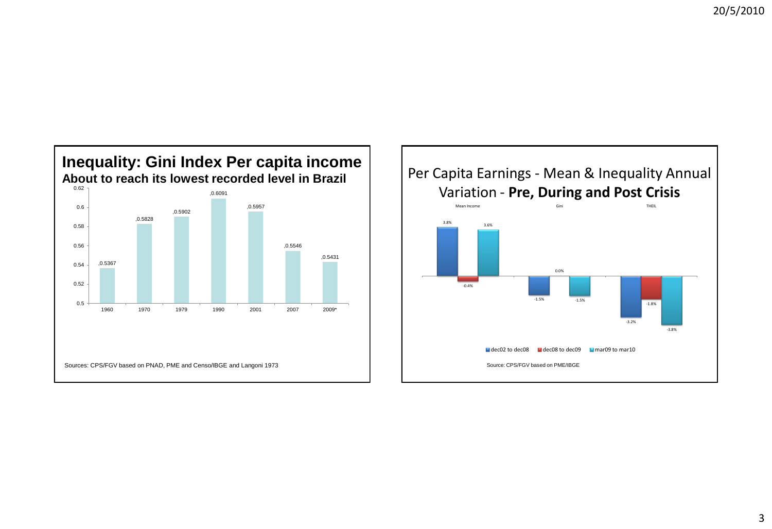

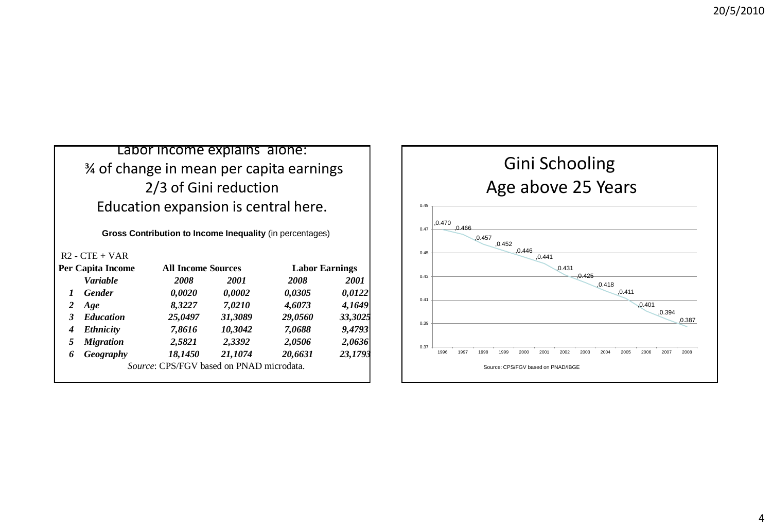#### Labor income explains alone: ¾ of change in mean per capita earnings 2/3 of Gini reduction Education expansion is central here.

**Gross Contribution to Income Inequality** (in percentages)

R2 - CTE + VAR

| <b>Per Capita Income</b> |                  | <b>All Income Sources</b>                |             | <b>Labor Earnings</b> |             |  |
|--------------------------|------------------|------------------------------------------|-------------|-----------------------|-------------|--|
|                          | <b>Variable</b>  | <i>2008</i>                              | <i>2001</i> | 2008                  | <b>2001</b> |  |
| 1                        | <b>Gender</b>    | 0,0020                                   | 0,0002      | 0,0305                | 0,0122      |  |
| 2                        | Age              | 8,3227                                   | 7,0210      | 4,6073                | 4,1649      |  |
| 3                        | <b>Education</b> | 25,0497                                  | 31,3089     | 29,0560               | 33,3025     |  |
| 4                        | <b>Ethnicity</b> | 7,8616                                   | 10,3042     | 7,0688                | 9,4793      |  |
| 5                        | <b>Migration</b> | 2,5821                                   | 2,3392      | 2,0506                | 2,0636      |  |
| 6                        | Geography        | 18,1450                                  | 21,1074     | 20,6631               | 23,1793     |  |
|                          |                  | Source: CPS/FGV based on PNAD microdata. |             |                       |             |  |

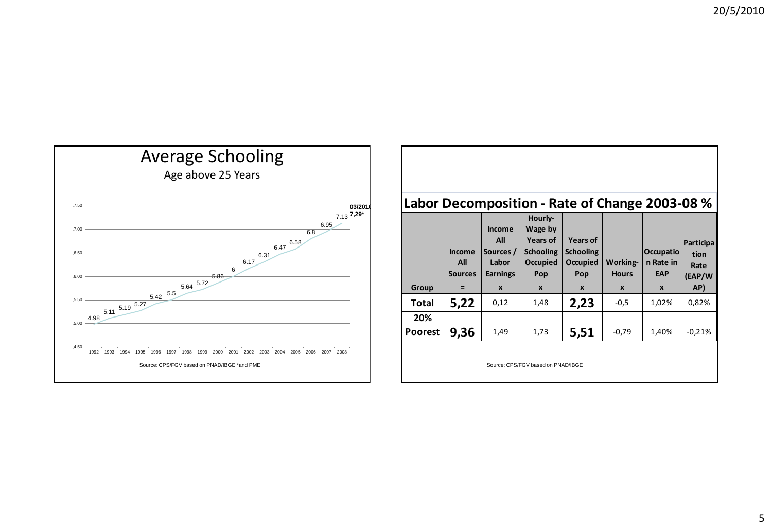

#### **Labor Decomposition - Rate of Change 2003-08 %**

|                | Income<br>All<br><b>Sources</b> | Income<br>All<br>Sources /<br>Labor<br><b>Earnings</b> | Hourly-<br>Wage by<br>Years of<br><b>Schooling</b><br>Occupied<br>Pop | Years of<br><b>Schooling</b><br>Occupied<br>Pop | <b>Working-</b><br><b>Hours</b> | <b>Occupatio</b><br>n Rate in<br>EAP | Participa<br>tion<br>Rate<br>(EAP/W |
|----------------|---------------------------------|--------------------------------------------------------|-----------------------------------------------------------------------|-------------------------------------------------|---------------------------------|--------------------------------------|-------------------------------------|
| Group          | $=$                             | $\boldsymbol{x}$                                       | $\boldsymbol{x}$                                                      | $\boldsymbol{x}$                                | $\boldsymbol{x}$                | $\mathbf{x}$                         | AP)                                 |
| <b>Total</b>   | 5,22                            | 0,12                                                   | 1,48                                                                  | 2,23                                            | $-0,5$                          | 1,02%                                | 0,82%                               |
| 20%            |                                 |                                                        |                                                                       |                                                 |                                 |                                      |                                     |
| <b>Poorest</b> | 9,36                            | 1,49                                                   | 1,73                                                                  | 5,51                                            | $-0,79$                         | 1,40%                                | $-0.21%$                            |
|                |                                 |                                                        | Source: CPS/FGV based on PNAD/IBGE                                    |                                                 |                                 |                                      |                                     |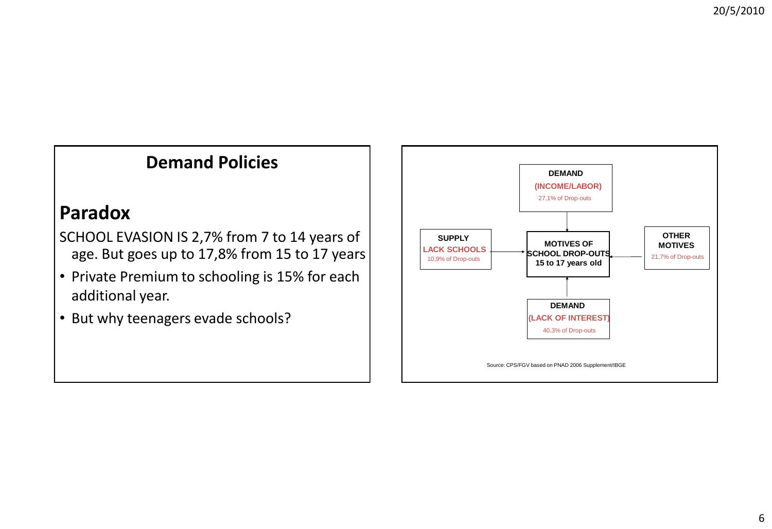# **Demand Policies**

## **Paradox**

SCHOOL EVASION IS 2,7% from 7 to 14 years of age. But goes up to 17,8% from 15 to 17 years

- Private Premium to schooling is 15% for each additional year.
- But why teenagers evade schools?